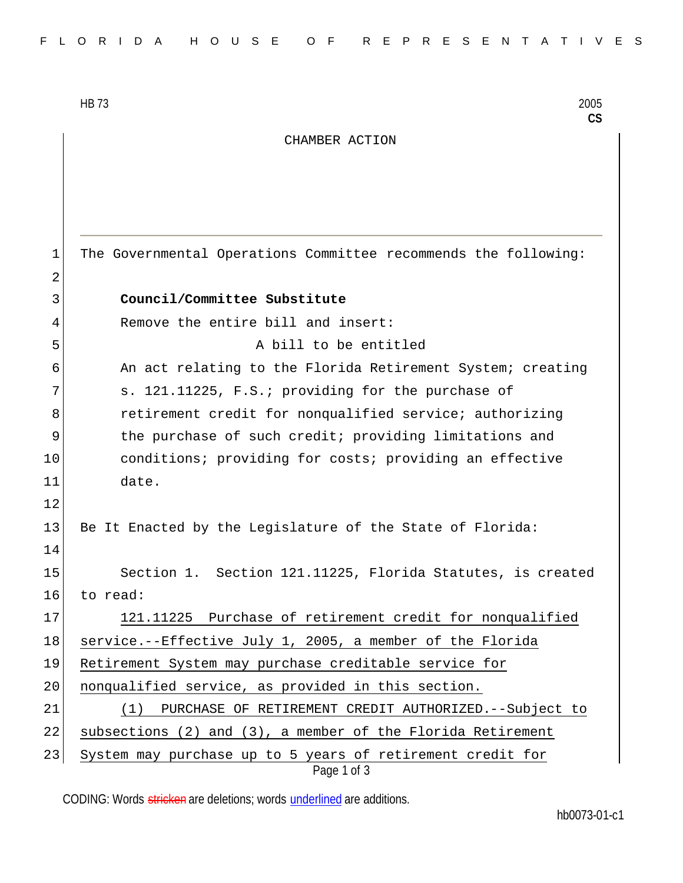HB 73 2005

**CS**

## CHAMBER ACTION

Page 1 of 3 1 The Governmental Operations Committee recommends the following: 2 3 **Council/Committee Substitute** 4 Remove the entire bill and insert: 5 A bill to be entitled 6 An act relating to the Florida Retirement System; creating 7 s. 121.11225, F.S.; providing for the purchase of 8 **8** retirement credit for nonqualified service; authorizing 9 11.12 the purchase of such credit; providing limitations and 10 conditions; providing for costs; providing an effective 11 date. 12 13 Be It Enacted by the Legislature of the State of Florida: 14 15 Section 1. Section 121.11225, Florida Statutes, is created 16 to read: 17 121.11225 Purchase of retirement credit for nonqualified 18 service.--Effective July 1, 2005, a member of the Florida 19 Retirement System may purchase creditable service for 20 | nonqualified service, as provided in this section. 21 (1) PURCHASE OF RETIREMENT CREDIT AUTHORIZED.--Subject to 22 subsections (2) and  $(3)$ , a member of the Florida Retirement 23 System may purchase up to 5 years of retirement credit for

CODING: Words stricken are deletions; words underlined are additions.

hb0073-01-c1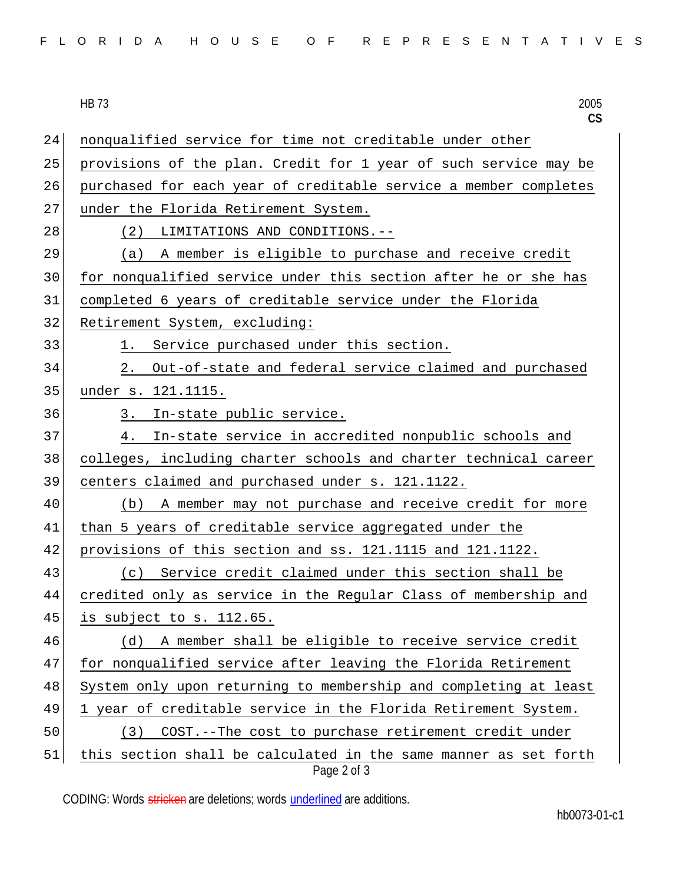| FLORIDA HOUSE OF REPRESENTATIVES |  |
|----------------------------------|--|
|----------------------------------|--|

|    | 2005<br><b>HB 73</b><br>CS                                       |
|----|------------------------------------------------------------------|
| 24 | nonqualified service for time not creditable under other         |
| 25 | provisions of the plan. Credit for 1 year of such service may be |
| 26 | purchased for each year of creditable service a member completes |
| 27 | under the Florida Retirement System.                             |
| 28 | (2)<br>LIMITATIONS AND CONDITIONS.--                             |
| 29 | A member is eligible to purchase and receive credit<br>(a)       |
| 30 | for nonqualified service under this section after he or she has  |
| 31 | completed 6 years of creditable service under the Florida        |
| 32 | Retirement System, excluding:                                    |
| 33 | Service purchased under this section.<br>1.                      |
| 34 | Out-of-state and federal service claimed and purchased<br>2.     |
| 35 | under s. 121.1115.                                               |
| 36 | In-state public service.<br>3.                                   |
| 37 | In-state service in accredited nonpublic schools and<br>4.       |
| 38 | colleges, including charter schools and charter technical career |
| 39 | centers claimed and purchased under s. 121.1122.                 |
| 40 | A member may not purchase and receive credit for more<br>(b)     |
| 41 | than 5 years of creditable service aggregated under the          |
| 42 | provisions of this section and ss. 121.1115 and 121.1122.        |
| 43 | Service credit claimed under this section shall be<br>(c)        |
| 44 | credited only as service in the Regular Class of membership and  |
| 45 | is subject to s. 112.65.                                         |
| 46 | A member shall be eligible to receive service credit<br>(d)      |
| 47 | for nonqualified service after leaving the Florida Retirement    |
| 48 | System only upon returning to membership and completing at least |
| 49 | 1 year of creditable service in the Florida Retirement System.   |
| 50 | COST.--The cost to purchase retirement credit under<br>(3)       |
| 51 | this section shall be calculated in the same manner as set forth |

Page 2 of 3

CODING: Words stricken are deletions; words underlined are additions.